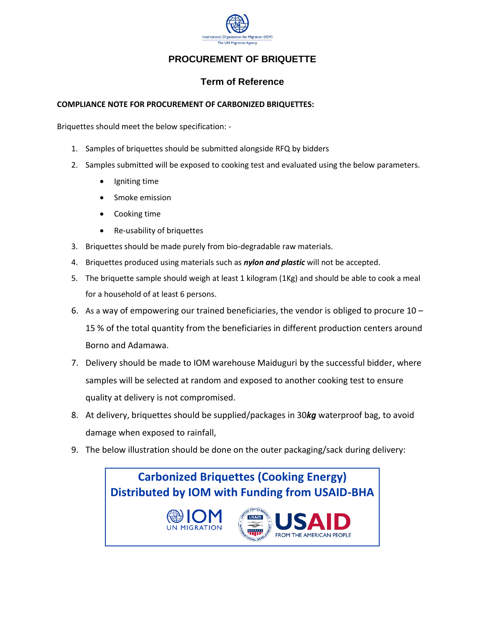

## **PROCUREMENT OF BRIQUETTE**

## **Term of Reference**

## **COMPLIANCE NOTE FOR PROCUREMENT OF CARBONIZED BRIQUETTES:**

Briquettes should meet the below specification: -

- 1. Samples of briquettes should be submitted alongside RFQ by bidders
- 2. Samples submitted will be exposed to cooking test and evaluated using the below parameters.
	- Igniting time
	- Smoke emission
	- Cooking time
	- Re-usability of briquettes
- 3. Briquettes should be made purely from bio-degradable raw materials.
- 4. Briquettes produced using materials such as *nylon and plastic* will not be accepted.
- 5. The briquette sample should weigh at least 1 kilogram (1Kg) and should be able to cook a meal for a household of at least 6 persons.
- 6. As a way of empowering our trained beneficiaries, the vendor is obliged to procure  $10 -$ 15 % of the total quantity from the beneficiaries in different production centers around Borno and Adamawa.
- 7. Delivery should be made to IOM warehouse Maiduguri by the successful bidder, where samples will be selected at random and exposed to another cooking test to ensure quality at delivery is not compromised.
- 8. At delivery, briquettes should be supplied/packages in 30*kg* waterproof bag, to avoid damage when exposed to rainfall,
- 9. The below illustration should be done on the outer packaging/sack during delivery: